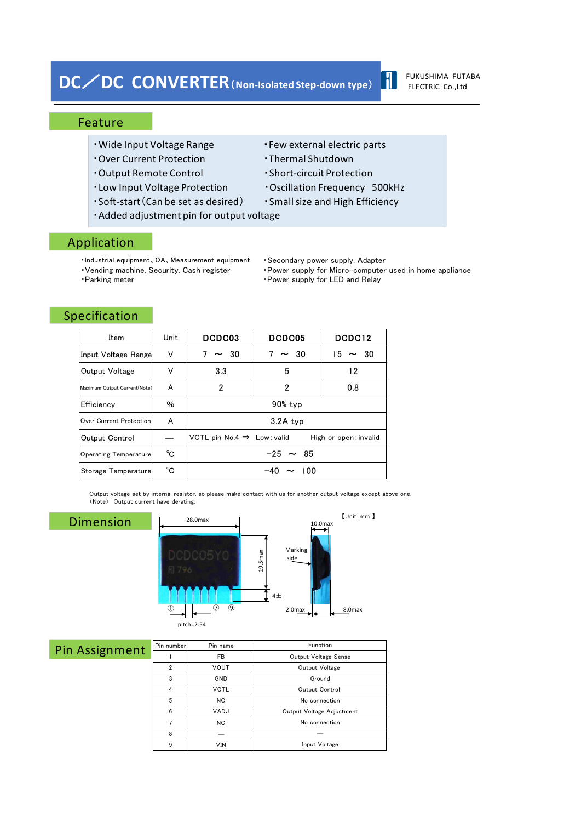# **DC**/**DC CONVERTER**(**Non-Isolated Step-down type**)

#### FUKUSHIMA FUTABA ELECTRIC Co.,Ltd

 $\blacksquare$ 

#### Feature

- Wide Input Voltage Range  **Few external electric parts**
- ・Over Current Protection ・Thermal Shutdown
- ・Output Remote Control ・Short-circuit Protection
- ・Low Input Voltage Protection ・Oscillation Frequency 500kHz
- ・Soft-start(Can be set as desired) ・Smallsize and High Efficiency
- ・Added adjustment pin for output voltage

#### Application

- ・Industrial equipment、OA、Measurement equipment
- 
- 
- 
- 
- 
- 
- 
- ・Secondary power supply, Adapter

― Input Voltage

• Vending machine, Security, Cash register • Power supply for Micro-computer used in home appliance •Parking meter **and COV** • Power supply for LED and Relay

【Unit:mm 】

#### Specification

Pir

| Item                         | Unit | DCDC03                                                          | DCDC05         | DCDC12       |  |  |
|------------------------------|------|-----------------------------------------------------------------|----------------|--------------|--|--|
| Input Voltage Rangel         | V    | $\sim$ 30                                                       | 7<br>$\sim$ 30 | $15 \sim 30$ |  |  |
| Output Voltage               | ν    | 3.3                                                             | 5              | 12           |  |  |
| Maximum Output Current(Note) | A    | 2                                                               | 2              | 0.8          |  |  |
| Efficiency                   | %    | 90% typ                                                         |                |              |  |  |
| Over Current Protection      | A    | 3.2A typ                                                        |                |              |  |  |
| Output Control               |      | VCTL pin No.4 $\Rightarrow$ Low: valid<br>High or open: invalid |                |              |  |  |
| <b>Operating Temperature</b> | °C   | $-25 \sim 85$                                                   |                |              |  |  |
| Storage Temperature          | °C   | $\sim$ 100                                                      |                |              |  |  |

Output voltage set by internal resistor, so please make contact with us for another output voltage except above one. (Note) Output current have derating.

| <b>Dimension</b> | ➀              | 28.0max<br>$\circledcirc$<br>$\circledcirc$<br>pitch=2.54 | $19.5$ max<br>$4\pm$ | 【Unit:mm】<br>10.0 <sub>max</sub><br>Marking<br>side<br>2.0 <sub>max</sub><br>8.0max |  |
|------------------|----------------|-----------------------------------------------------------|----------------------|-------------------------------------------------------------------------------------|--|
| n Assignment     | Pin number     | Pin name                                                  |                      | Function                                                                            |  |
|                  | 1              | FB                                                        |                      | Output Voltage Sense                                                                |  |
|                  | $\overline{2}$ | <b>VOUT</b>                                               |                      | Output Voltage                                                                      |  |
|                  | 3              | GND                                                       |                      | Ground                                                                              |  |
|                  | 4              | <b>VCTL</b>                                               |                      | Output Control                                                                      |  |
|                  | 5              | <b>NC</b>                                                 |                      | No connection                                                                       |  |
|                  | 6              | VADJ                                                      |                      | Output Voltage Adjustment                                                           |  |
|                  | 7              | <b>NC</b>                                                 |                      | No connection                                                                       |  |

8 ― 9 VIN